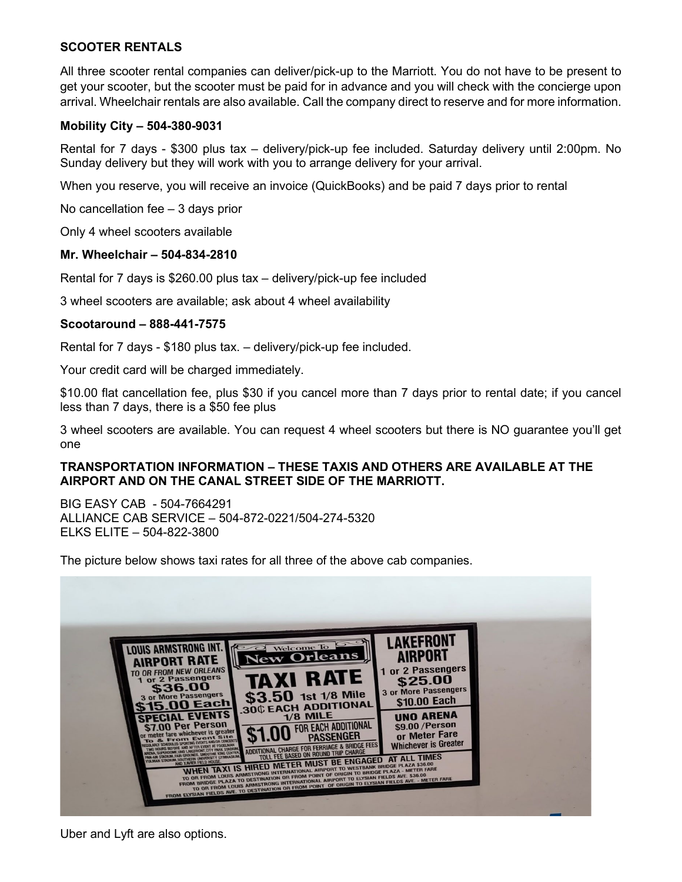# **SCOOTER RENTALS**

All three scooter rental companies can deliver/pick-up to the Marriott. You do not have to be present to get your scooter, but the scooter must be paid for in advance and you will check with the concierge upon arrival. Wheelchair rentals are also available. Call the company direct to reserve and for more information.

## **Mobility City – 504-380-9031**

Rental for 7 days - \$300 plus tax – delivery/pick-up fee included. Saturday delivery until 2:00pm. No Sunday delivery but they will work with you to arrange delivery for your arrival.

When you reserve, you will receive an invoice (QuickBooks) and be paid 7 days prior to rental

No cancellation fee – 3 days prior

Only 4 wheel scooters available

#### **Mr. Wheelchair – 504-834-2810**

Rental for 7 days is \$260.00 plus tax – delivery/pick-up fee included

3 wheel scooters are available; ask about 4 wheel availability

## **Scootaround – 888-441-7575**

Rental for 7 days - \$180 plus tax. – delivery/pick-up fee included.

Your credit card will be charged immediately.

\$10.00 flat cancellation fee, plus \$30 if you cancel more than 7 days prior to rental date; if you cancel less than 7 days, there is a \$50 fee plus

3 wheel scooters are available. You can request 4 wheel scooters but there is NO guarantee you'll get one

## **TRANSPORTATION INFORMATION – THESE TAXIS AND OTHERS ARE AVAILABLE AT THE AIRPORT AND ON THE CANAL STREET SIDE OF THE MARRIOTT.**

BIG EASY CAB - 504-7664291 ALLIANCE CAB SERVICE – 504-872-0221/504-274-5320 ELKS ELITE – 504-822-3800

The picture below shows taxi rates for all three of the above cab companies.



Uber and Lyft are also options.